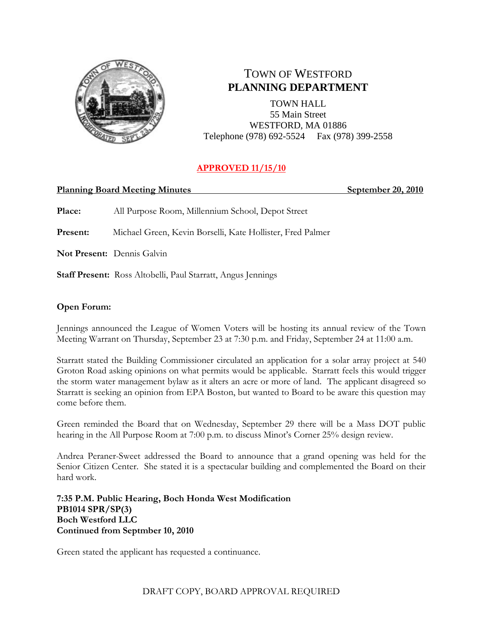

# TOWN OF WESTFORD **PLANNING DEPARTMENT**

TOWN HALL 55 Main Street WESTFORD, MA 01886 Telephone (978) 692-5524 Fax (978) 399-2558

# **APPROVED 11/15/10**

#### **Planning Board Meeting Minutes September 20, 2010**

**Place:** All Purpose Room, Millennium School, Depot Street

**Present:** Michael Green, Kevin Borselli, Kate Hollister, Fred Palmer

**Not Present:** Dennis Galvin

**Staff Present:** Ross Altobelli, Paul Starratt, Angus Jennings

# **Open Forum:**

Jennings announced the League of Women Voters will be hosting its annual review of the Town Meeting Warrant on Thursday, September 23 at 7:30 p.m. and Friday, September 24 at 11:00 a.m.

Starratt stated the Building Commissioner circulated an application for a solar array project at 540 Groton Road asking opinions on what permits would be applicable. Starratt feels this would trigger the storm water management bylaw as it alters an acre or more of land. The applicant disagreed so Starratt is seeking an opinion from EPA Boston, but wanted to Board to be aware this question may come before them.

Green reminded the Board that on Wednesday, September 29 there will be a Mass DOT public hearing in the All Purpose Room at 7:00 p.m. to discuss Minot's Corner 25% design review.

Andrea Peraner-Sweet addressed the Board to announce that a grand opening was held for the Senior Citizen Center. She stated it is a spectacular building and complemented the Board on their hard work.

**7:35 P.M. Public Hearing, Boch Honda West Modification PB1014 SPR/SP(3) Boch Westford LLC Continued from Septmber 10, 2010**

Green stated the applicant has requested a continuance.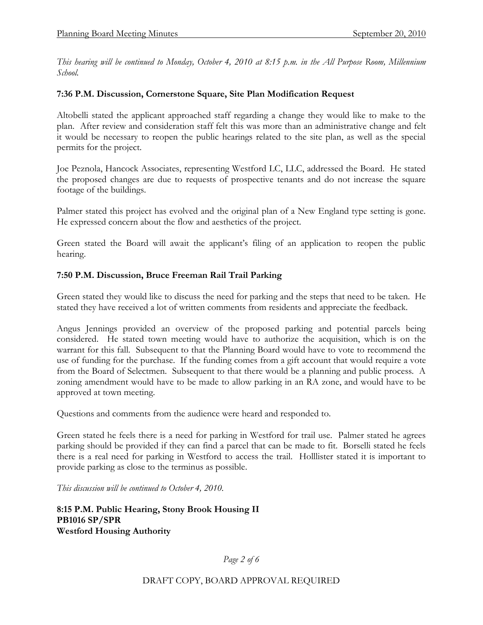*This hearing will be continued to Monday, October 4, 2010 at 8:15 p.m. in the All Purpose Room, Millennium School.* 

#### **7:36 P.M. Discussion, Cornerstone Square, Site Plan Modification Request**

Altobelli stated the applicant approached staff regarding a change they would like to make to the plan. After review and consideration staff felt this was more than an administrative change and felt it would be necessary to reopen the public hearings related to the site plan, as well as the special permits for the project.

Joe Peznola, Hancock Associates, representing Westford LC, LLC, addressed the Board. He stated the proposed changes are due to requests of prospective tenants and do not increase the square footage of the buildings.

Palmer stated this project has evolved and the original plan of a New England type setting is gone. He expressed concern about the flow and aesthetics of the project.

Green stated the Board will await the applicant's filing of an application to reopen the public hearing.

#### **7:50 P.M. Discussion, Bruce Freeman Rail Trail Parking**

Green stated they would like to discuss the need for parking and the steps that need to be taken. He stated they have received a lot of written comments from residents and appreciate the feedback.

Angus Jennings provided an overview of the proposed parking and potential parcels being considered. He stated town meeting would have to authorize the acquisition, which is on the warrant for this fall. Subsequent to that the Planning Board would have to vote to recommend the use of funding for the purchase. If the funding comes from a gift account that would require a vote from the Board of Selectmen. Subsequent to that there would be a planning and public process. A zoning amendment would have to be made to allow parking in an RA zone, and would have to be approved at town meeting.

Questions and comments from the audience were heard and responded to.

Green stated he feels there is a need for parking in Westford for trail use. Palmer stated he agrees parking should be provided if they can find a parcel that can be made to fit. Borselli stated he feels there is a real need for parking in Westford to access the trail. Holllister stated it is important to provide parking as close to the terminus as possible.

*This discussion will be continued to October 4, 2010.*

**8:15 P.M. Public Hearing, Stony Brook Housing II PB1016 SP/SPR Westford Housing Authority**

*Page 2 of 6*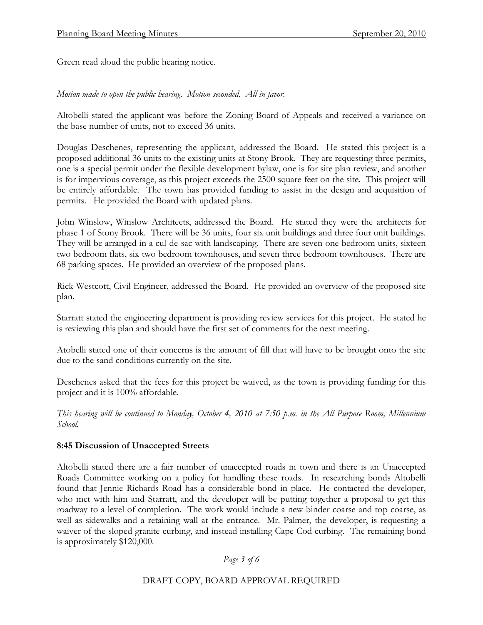Green read aloud the public hearing notice.

*Motion made to open the public hearing. Motion seconded. All in favor.*

Altobelli stated the applicant was before the Zoning Board of Appeals and received a variance on the base number of units, not to exceed 36 units.

Douglas Deschenes, representing the applicant, addressed the Board. He stated this project is a proposed additional 36 units to the existing units at Stony Brook. They are requesting three permits, one is a special permit under the flexible development bylaw, one is for site plan review, and another is for impervious coverage, as this project exceeds the 2500 square feet on the site. This project will be entirely affordable. The town has provided funding to assist in the design and acquisition of permits. He provided the Board with updated plans.

John Winslow, Winslow Architects, addressed the Board. He stated they were the architects for phase 1 of Stony Brook. There will be 36 units, four six unit buildings and three four unit buildings. They will be arranged in a cul-de-sac with landscaping. There are seven one bedroom units, sixteen two bedroom flats, six two bedroom townhouses, and seven three bedroom townhouses. There are 68 parking spaces. He provided an overview of the proposed plans.

Rick Westcott, Civil Engineer, addressed the Board. He provided an overview of the proposed site plan.

Starratt stated the engineering department is providing review services for this project. He stated he is reviewing this plan and should have the first set of comments for the next meeting.

Atobelli stated one of their concerns is the amount of fill that will have to be brought onto the site due to the sand conditions currently on the site.

Deschenes asked that the fees for this project be waived, as the town is providing funding for this project and it is 100% affordable.

*This hearing will be continued to Monday, October 4, 2010 at 7:50 p.m. in the All Purpose Room, Millennium School.* 

# **8:45 Discussion of Unaccepted Streets**

Altobelli stated there are a fair number of unaccepted roads in town and there is an Unaccepted Roads Committee working on a policy for handling these roads. In researching bonds Altobelli found that Jennie Richards Road has a considerable bond in place. He contacted the developer, who met with him and Starratt, and the developer will be putting together a proposal to get this roadway to a level of completion. The work would include a new binder coarse and top coarse, as well as sidewalks and a retaining wall at the entrance. Mr. Palmer, the developer, is requesting a waiver of the sloped granite curbing, and instead installing Cape Cod curbing. The remaining bond is approximately \$120,000.

*Page 3 of 6*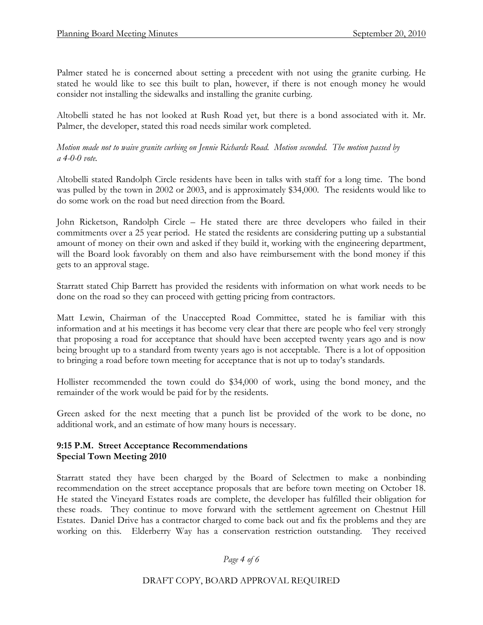Palmer stated he is concerned about setting a precedent with not using the granite curbing. He stated he would like to see this built to plan, however, if there is not enough money he would consider not installing the sidewalks and installing the granite curbing.

Altobelli stated he has not looked at Rush Road yet, but there is a bond associated with it. Mr. Palmer, the developer, stated this road needs similar work completed.

*Motion made not to waive granite curbing on Jennie Richards Road. Motion seconded. The motion passed by a 4-0-0 vote.*

Altobelli stated Randolph Circle residents have been in talks with staff for a long time. The bond was pulled by the town in 2002 or 2003, and is approximately \$34,000. The residents would like to do some work on the road but need direction from the Board.

John Ricketson, Randolph Circle – He stated there are three developers who failed in their commitments over a 25 year period. He stated the residents are considering putting up a substantial amount of money on their own and asked if they build it, working with the engineering department, will the Board look favorably on them and also have reimbursement with the bond money if this gets to an approval stage.

Starratt stated Chip Barrett has provided the residents with information on what work needs to be done on the road so they can proceed with getting pricing from contractors.

Matt Lewin, Chairman of the Unaccepted Road Committee, stated he is familiar with this information and at his meetings it has become very clear that there are people who feel very strongly that proposing a road for acceptance that should have been accepted twenty years ago and is now being brought up to a standard from twenty years ago is not acceptable. There is a lot of opposition to bringing a road before town meeting for acceptance that is not up to today's standards.

Hollister recommended the town could do \$34,000 of work, using the bond money, and the remainder of the work would be paid for by the residents.

Green asked for the next meeting that a punch list be provided of the work to be done, no additional work, and an estimate of how many hours is necessary.

# **9:15 P.M. Street Acceptance Recommendations Special Town Meeting 2010**

Starratt stated they have been charged by the Board of Selectmen to make a nonbinding recommendation on the street acceptance proposals that are before town meeting on October 18. He stated the Vineyard Estates roads are complete, the developer has fulfilled their obligation for these roads. They continue to move forward with the settlement agreement on Chestnut Hill Estates. Daniel Drive has a contractor charged to come back out and fix the problems and they are working on this. Elderberry Way has a conservation restriction outstanding. They received

*Page 4 of 6*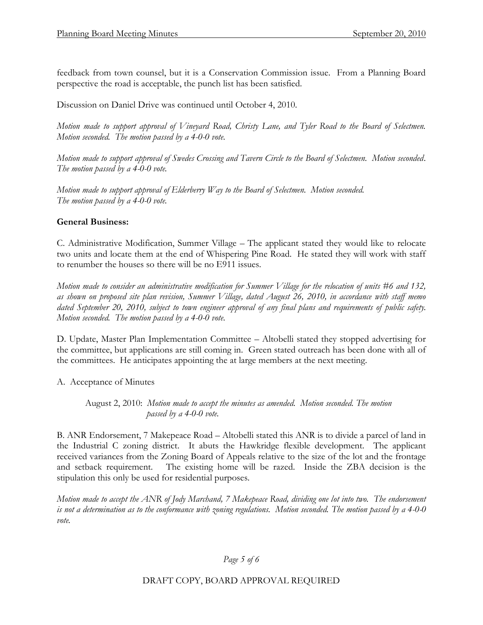feedback from town counsel, but it is a Conservation Commission issue. From a Planning Board perspective the road is acceptable, the punch list has been satisfied.

Discussion on Daniel Drive was continued until October 4, 2010.

*Motion made to support approval of Vineyard Road, Christy Lane, and Tyler Road to the Board of Selectmen. Motion seconded. The motion passed by a 4-0-0 vote.*

*Motion made to support approval of Swedes Crossing and Tavern Circle to the Board of Selectmen. Motion seconded. The motion passed by a 4-0-0 vote.*

*Motion made to support approval of Elderberry Way to the Board of Selectmen. Motion seconded. The motion passed by a 4-0-0 vote.*

# **General Business:**

C. Administrative Modification, Summer Village – The applicant stated they would like to relocate two units and locate them at the end of Whispering Pine Road. He stated they will work with staff to renumber the houses so there will be no E911 issues.

*Motion made to consider an administrative modification for Summer Village for the relocation of units #6 and 132, as shown on proposed site plan revision, Summer Village, dated August 26, 2010, in accordance with staff memo dated September 20, 2010, subject to town engineer approval of any final plans and requirements of public safety. Motion seconded. The motion passed by a 4-0-0 vote.*

D. Update, Master Plan Implementation Committee – Altobelli stated they stopped advertising for the committee, but applications are still coming in. Green stated outreach has been done with all of the committees. He anticipates appointing the at large members at the next meeting.

A. Acceptance of Minutes

August 2, 2010: *Motion made to accept the minutes as amended. Motion seconded. The motion passed by a 4-0-0 vote.*

B. ANR Endorsement, 7 Makepeace Road – Altobelli stated this ANR is to divide a parcel of land in the Industrial C zoning district. It abuts the Hawkridge flexible development. The applicant received variances from the Zoning Board of Appeals relative to the size of the lot and the frontage and setback requirement. The existing home will be razed. Inside the ZBA decision is the stipulation this only be used for residential purposes.

*Motion made to accept the ANR of Jody Marchand, 7 Makepeace Road, dividing one lot into two. The endorsement is not a determination as to the conformance with zoning regulations. Motion seconded. The motion passed by a 4-0-0 vote.*

# *Page 5 of 6*

DRAFT COPY, BOARD APPROVAL REQUIRED